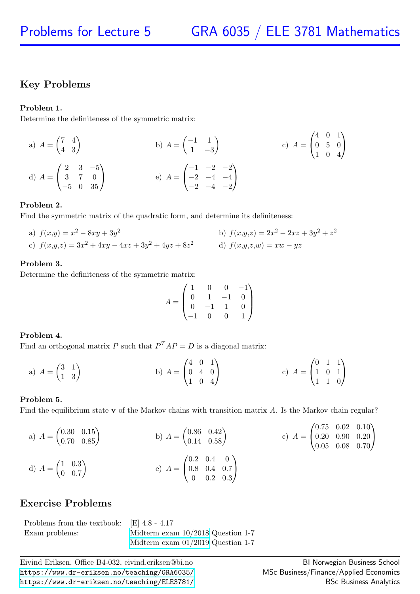## Key Problems

### Problem 1.

Determine the definiteness of the symmetric matrix:

a) 
$$
A = \begin{pmatrix} 7 & 4 \\ 4 & 3 \end{pmatrix}
$$
  
b)  $A = \begin{pmatrix} -1 & 1 \\ 1 & -3 \end{pmatrix}$   
c)  $A = \begin{pmatrix} 4 & 0 & 1 \\ 0 & 5 & 0 \\ 1 & 0 & 4 \end{pmatrix}$   
d)  $A = \begin{pmatrix} 2 & 3 & -5 \\ 3 & 7 & 0 \\ -5 & 0 & 35 \end{pmatrix}$   
e)  $A = \begin{pmatrix} -1 & -2 & -2 \\ -2 & -4 & -4 \\ -2 & -4 & -2 \end{pmatrix}$ 

### Problem 2.

Find the symmetric matrix of the quadratic form, and determine its definiteness:

a)  $f(x,y) = x^2 - 8xy + 3y^2$  b)  $f(x,y,z) = 2x$ b)  $f(x,y,z) = 2x^2 - 2xz + 3y^2 + z^2$ c)  $f(x,y,z) = 3x^2 + 4xy - 4xz + 3y^2 + 4yz + 8z^2$  d)  $f(x,y,z,w) = xw - yz$ 

## Problem 3.

Determine the definiteness of the symmetric matrix:

$$
A = \begin{pmatrix} 1 & 0 & 0 & -1 \\ 0 & 1 & -1 & 0 \\ 0 & -1 & 1 & 0 \\ -1 & 0 & 0 & 1 \end{pmatrix}
$$

## Problem 4.

Find an orthogonal matrix P such that  $P^{T}AP = D$  is a diagonal matrix:

a) 
$$
A = \begin{pmatrix} 3 & 1 \\ 1 & 3 \end{pmatrix}
$$
 b)  $A = \begin{pmatrix} 4 & 0 & 1 \\ 0 & 4 & 0 \\ 1 & 0 & 4 \end{pmatrix}$  c)  $A = \begin{pmatrix} 0 & 1 & 1 \\ 1 & 0 & 1 \\ 1 & 1 & 0 \end{pmatrix}$ 

### Problem 5.

Find the equilibrium state v of the Markov chains with transition matrix A. Is the Markov chain regular?

a) 
$$
A = \begin{pmatrix} 0.30 & 0.15 \\ 0.70 & 0.85 \end{pmatrix}
$$
 b)  $A = \begin{pmatrix} 0.86 & 0.42 \\ 0.14 & 0.58 \end{pmatrix}$  c)  $A = \begin{pmatrix} 0.75 & 0.02 & 0.10 \\ 0.20 & 0.90 & 0.20 \\ 0.05 & 0.08 & 0.70 \end{pmatrix}$   
d)  $A = \begin{pmatrix} 1 & 0.3 \\ 0 & 0.7 \end{pmatrix}$  e)  $A = \begin{pmatrix} 0.2 & 0.4 & 0 \\ 0.8 & 0.4 & 0.7 \\ 0 & 0.2 & 0.3 \end{pmatrix}$ 

## Exercise Problems

Problems from the textbook: [E] 4.8 - 4.17 Exam problems: Midterm exam  $10/2018$  Question 1-7 [Midterm exam 01/2019](https://www.dr-eriksen.no/teaching/GRA6035/Exams/midterm-2019-01.pdf) Question 1-7